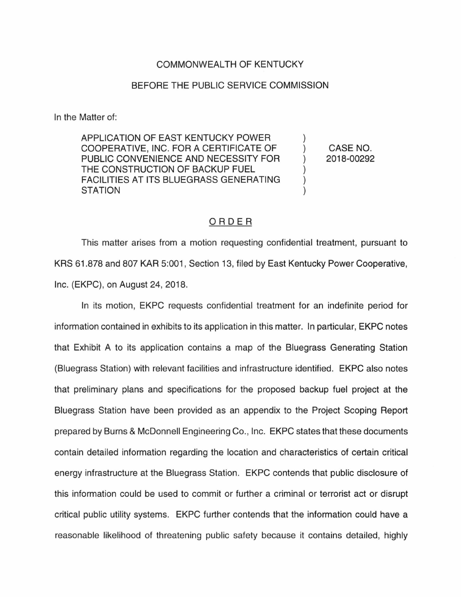## COMMONWEALTH OF KENTUCKY

## BEFORE THE PUBLIC SERVICE COMMISSION

In the Matter of:

APPLICATION OF EAST KENTUCKY POWER COOPERATIVE, INC. FOR A CERTIFICATE OF PUBLIC CONVENIENCE AND NECESSITY FOR THE CONSTRUCTION OF BACKUP FUEL FACILITIES AT ITS BLUEGRASS GENERATING **STATION** 

CASE NO. 2018-00292

 $\mathcal{L}$ 

## ORDER

This matter arises from a motion requesting confidential treatment, pursuant to KRS 61.878 and 807 KAR 5:001 , Section 13, filed by East Kentucky Power Cooperative, Inc. (EKPC), on August 24, 2018.

In its motion, EKPC requests confidential treatment for an indefinite period for information contained in exhibits to its application in this matter. In particular, EKPC notes that Exhibit A to its application contains a map of the Bluegrass Generating Station (Bluegrass Station) with relevant facilities and infrastructure identified. EKPC also notes that preliminary plans and specifications for the proposed backup fuel project at the Bluegrass Station have been provided as an appendix to the Project Scoping Report prepared by Burns & McDonnell Engineering Co. , Inc. EKPC states that these documents contain detailed information regarding the location and characteristics of certain critical energy infrastructure at the Bluegrass Station. EKPC contends that public disclosure of this information could be used to commit or further a criminal or terrorist act or disrupt critical public utility systems. EKPC further contends that the information could have a reasonable likelihood of threatening public safety because it contains detailed, highly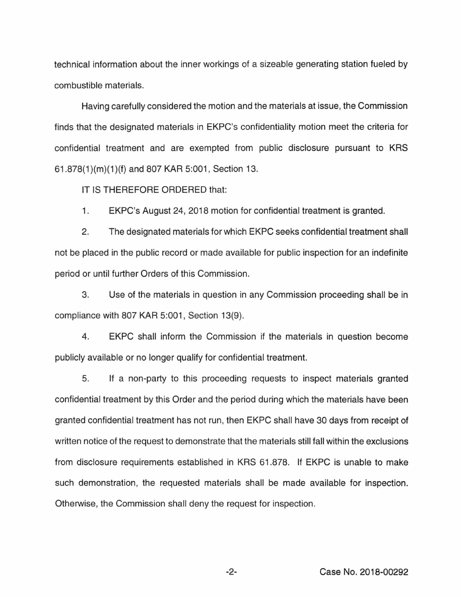technical information about the inner workings of a sizeable generating station fueled by combustible materials.

Having carefully considered the motion and the materials at issue, the Commission finds that the designated materials in EKPC's confidentiality motion meet the criteria for confidential treatment and are exempted from public disclosure pursuant to KRS 61.878(1 )(m)(1 )(f) and 807 KAR 5:001, Section 13.

IT IS THEREFORE ORDERED that:

1. EKPC's August 24, 2018 motion for confidential treatment is granted.

2. The designated materials for which EKPC seeks confidential treatment shall not be placed in the public record or made available for public inspection for an indefinite period or until further Orders of this Commission.

3. Use of the materials in question in any Commission proceeding shall be in compliance with 807 KAR 5:001, Section 13(9).

4. EKPC shall inform the Commission if the materials in question become publicly available or no longer qualify for confidential treatment.

5. If a non-party to this proceeding requests to inspect materials granted confidential treatment by this Order and the period during which the materials have been granted confidential treatment has not run, then EKPC shall have 30 days from receipt of written notice of the request to demonstrate that the materials still fall within the exclusions from disclosure requirements established in KRS 61.878. If EKPC is unable to make such demonstration, the requested materials shall be made available for inspection. Otherwise, the Commission shall deny the request for inspection.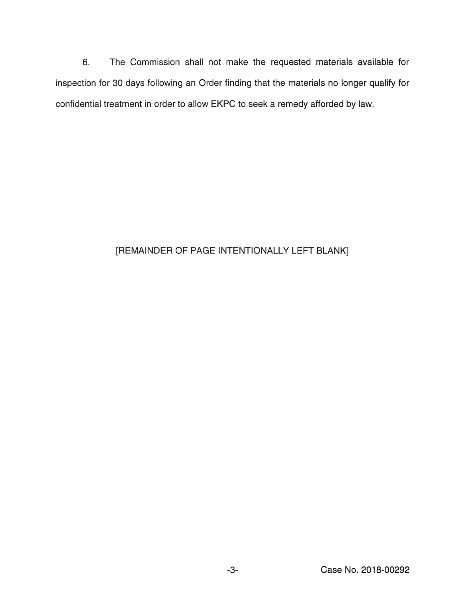6. The Commission shall not make the requested materials available for inspection for 30 days following an Order finding that the materials no longer qualify for confidential treatment in order to allow EKPC to seek a remedy afforded by law.

## [REMAINDER OF PAGE INTENTIONALLY LEFT BLANK]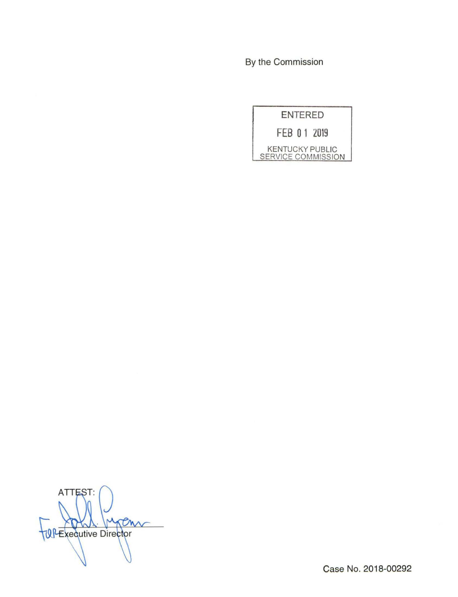By the Commission

| <b>ENTERED</b>                               |
|----------------------------------------------|
| FEB 0 1 2019                                 |
| <b>KENTUCKY PUBLIC</b><br>SERVICE COMMISSION |

ATTEST: ren  $\mathsf{M}$ TUP Executive Director

Case No. 2018-00292